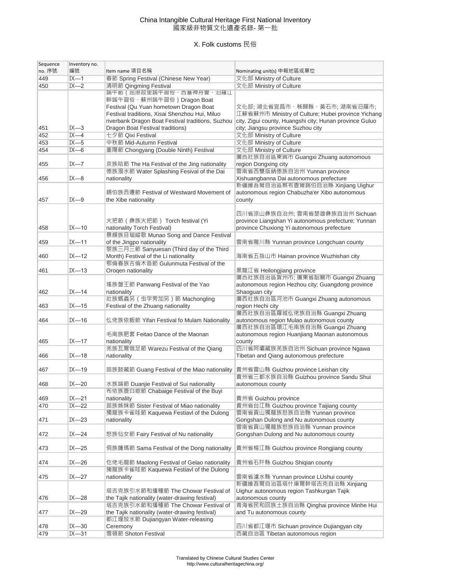## China Intangible Cultural Heritage First National Inventory 國家級非物質文化遺產名錄- 第一批

## X. Folk customs 民俗

| Sequence | Inventory no. |                                                                                                           |                                                         |
|----------|---------------|-----------------------------------------------------------------------------------------------------------|---------------------------------------------------------|
| no. 序號   | 編號            | Item name 項目名稱                                                                                            | Nominating unit(s) 申報地區或單位                              |
| 449      | $IX - 1$      | 春節 Spring Festival (Chinese New Year)                                                                     | 文化部 Ministry of Culture                                 |
| 450      | $IX - 2$      | 清明節 Qingming Festival                                                                                     | 文化部 Ministry of Culture                                 |
|          |               | 端午節 (屈原故里端午習俗、西塞神舟曾、汨羅江                                                                                   |                                                         |
|          |               | 畔端午習俗、蘇州端午習俗)Dragon Boat                                                                                  |                                                         |
|          |               | Festival (Qu Yuan hometown Dragon Boat                                                                    | 文化部;湖北省宜昌市、秭歸縣、黃石市;湖南省汨羅市;                              |
|          |               | Festival traditions, Xisai Shenzhou Hui, Miluo                                                            | 江蘇省蘇州市 Ministry of Culture; Hubei province Yichang      |
|          |               | riverbank Dragon Boat Festival traditions, Suzhou                                                         | city, Zigui county, Huangshi city; Hunan province Guluo |
| 451      | $IX - 3$      | Dragon Boat Festival traditions)                                                                          | city; Jiangsu province Suzhou city                      |
| 452      | $IX -4$       | 七夕節 Qixi Festival                                                                                         | 文化部 Ministry of Culture                                 |
| 453      | $IX - 5$      | 中秋節 Mid-Autumn Festival                                                                                   | 文化部 Ministry of Culture                                 |
| 454      | $IX - 6$      | 重陽節 Chongyang (Double Ninth) Festival                                                                     | 文化部 Ministry of Culture                                 |
|          |               |                                                                                                           | 廣西壯族自治區東興市 Guangxi Zhuang autonomous                    |
| 455      | $IX - 7$      | 京族哈節 The Ha Festival of the Jing nationality                                                              | region Dongxing city                                    |
|          |               | 傣族潑水節 Water Splashing Fesival of the Dai                                                                  | 雲南省西雙版納傣族自治州 Yunnan province                            |
| 456      | $IX - 8$      | nationality                                                                                               | Xishuangbanna Dai autonomous prefecture                 |
|          |               |                                                                                                           | 新疆維吾爾自治區察布查爾錫伯自治縣 Xinjiang Uighur                       |
|          |               | 錫伯族西遷節 Festival of Westward Movement of                                                                   | autonomous region Chabuzha'er Xibo autonomous           |
| 457      | $IX - 9$      | the Xibe nationality                                                                                      | county                                                  |
|          |               |                                                                                                           |                                                         |
|          |               |                                                                                                           | 四川省涼山彝族自治州: 雲南省楚雄彝族自治州 Sichuan                          |
|          |               | 火把節(彝族火把節) Torch festival (Yi                                                                             | province Liangshan Yi autonomous prefecture; Yunnan     |
| 458      | $IX - 10$     | nationality Torch Festival)                                                                               | province Chuxiong Yi autonomous prefecture              |
|          |               | 景頗族目瑙縱歌 Munao Song and Dance Festival                                                                     |                                                         |
| 459      | $IX - 11$     | of the Jingpo nationality                                                                                 | 雲南省隴川縣 Yunnan province Longchuan county                 |
|          |               | 黎族三月三節 Sanyuesan (Third day of the Third                                                                  |                                                         |
| 460      | $IX - 12$     | Month) Festival of the Li nationality                                                                     | 海南省五指山市 Hainan province Wuzhishan city                  |
|          |               | 鄂倫春族古倫木沓節 Gulunmuta Festival of the                                                                       |                                                         |
| 461      | $IX - 13$     | Orogen nationality                                                                                        | 黑龍江省 Heilongjiang province                              |
|          |               |                                                                                                           | 廣西壯族自治區賀州市; 廣東省韶關市 Guangxi Zhuang                       |
|          |               | 瑤族盤王節 Panwang Festival of the Yao                                                                         | autonomous region Hezhou city; Guangdong province       |
| 462      | $IX - 14$     | nationality                                                                                               | Shaoguan city                                           |
|          |               | 壯族螞蟲另 (虫字旁加另) 節 Machongling                                                                               | 廣西壯族自治區河池市 Guangxi Zhuang autonomous                    |
|          |               |                                                                                                           |                                                         |
| 463      | $IX - 15$     | Festival of the Zhuang nationality                                                                        | region Hechi city<br>廣西壯族自治區羅城仫佬族自治縣 Guangxi Zhuang     |
|          |               |                                                                                                           |                                                         |
| 464      | $IX - 16$     | 仫佬族依飯節 Yifan Festival fo Mulam Nationality                                                                | autonomous region Mulao autonomous county               |
|          |               | 毛南族肥套 Feitao Dance of the Maonan                                                                          | 廣西壯族自治區環江毛南族自治縣 Guangxi Zhuang                          |
|          |               |                                                                                                           | autonomous region Huanjiang Maonan autonomous           |
| 465      | $IX - 17$     | nationality                                                                                               | county<br>四川省阿壩藏族羌族自治州 Sichuan province Ngawa           |
|          |               | 羌族瓦爾俄足節 Warezu Festival of the Qiang                                                                      |                                                         |
| 466      | $IX - 18$     | nationality                                                                                               | Tibetan and Qiang autonomous prefecture                 |
|          |               |                                                                                                           |                                                         |
| 467      | $IX - 19$     | 苗族鼓藏節 Guang Festival of the Miao nationality                         貴州省雷山縣 Guizhou province Leishan city |                                                         |
|          |               |                                                                                                           | 貴州省三都水族自治縣 Guizhou province Sandu Shui                  |
| 468      | $IX - 20$     | 水族端節 Duanjie Festival of Sui nationality                                                                  | autonomous county                                       |
|          |               | 布依族查白歌節 Chabaige Festival of the Buyi                                                                     |                                                         |
| 469      | $IX - 21$     | nationality                                                                                               | 貴州省 Guizhou province                                    |
| 470      | $IX - 22$     | 苗族姊妹節 Sister Festival of Miao nationality                                                                 | 貴州省台江縣 Guizhou province Taijiang county                 |
|          |               | 獨龍族卡雀哇節 Kaquewa Festiavl of the Dulong                                                                    | 雲南省貢山獨龍族怒族自治縣 Yunnan province                           |
| 471      | $IX - 23$     | nationality                                                                                               | Gongshan Dulong and Nu autonomous county                |
|          |               |                                                                                                           | 雲南省貢山獨龍族怒族自治縣 Yunnan province                           |
| 472      | $IX - 24$     | 怒族仙女節 Fairy Festival of Nu nationality                                                                    | Gongshan Dulong and Nu autonomous county                |
|          |               |                                                                                                           |                                                         |
| 473      | $IX - 25$     | 侗族薩瑪節 Sama Festival of the Dong nationality                                                               | 貴州省榕江縣 Guizhou province Rongjiang county                |
|          |               |                                                                                                           |                                                         |
| 474      | $IX - 26$     | 仡佬毛龍節 Maolong Festival of Gelao nationality                                                               | 貴州省石阡縣 Guizhou Shiqian county                           |
|          |               | 獨龍族卡雀哇節 Kaquewa Festiavl of the Dulong                                                                    |                                                         |
| 475      | $IX - 27$     | nationality                                                                                               | 雲南省瀘水縣 Yunnan province LUshui county                    |
|          |               |                                                                                                           | 新疆維吾爾自治區塔什庫爾幹塔吉克自治縣 Xinjiang                            |
|          |               | 塔吉克族引水節和播種節 The Chowar Festival of                                                                        | Uighur autonomous region Tashkurgan Tajik               |
| 476      | $IX - 28$     | the Tajik nationality (water-drawing festival)                                                            | autonomous county                                       |
|          |               | 塔吉克族引水節和播種節 The Chowar Festival of                                                                        | 青海省民和回族土族自治縣 Qinghai province Minhe Hui                 |
| 477      | $IX - 29$     | the Tajik nationality (water-drawing festival)                                                            | and Tu autonomous county                                |
|          |               | 都江堰放水節 Dujiangyan Water-releasing                                                                         |                                                         |
| 478      | $IX - 30$     | Ceremony                                                                                                  | 四川省都江堰市 Sichuan province Dujiangyan city                |
|          | $IX - 31$     | 雪頓節 Shoton Festival                                                                                       |                                                         |
| 479      |               |                                                                                                           | 西藏自治區 Tibetan autonomous region                         |